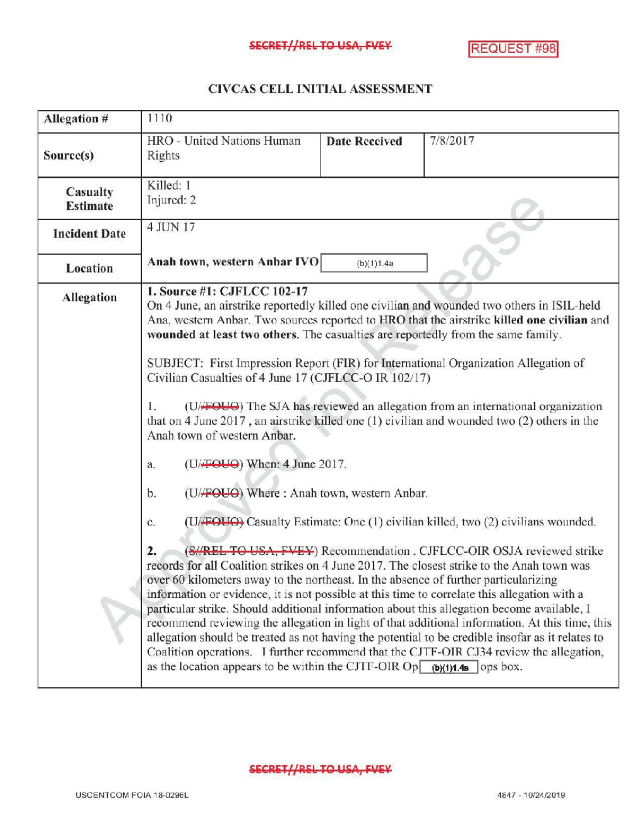## SECRET//REL TO USA, FVEY REQUEST #98

## CIVCASCELLINITIALASSESSMENT

| Allegation #                | 1110                                                                                                                                                                                                                                                                                                                                                                                                                                                                                                                                                                                                                                                                                                                                                                                                                                                                                                                                                                                                                                                                                                                                                                                                                                                                                                                                                                                                                                                                                                                                                                                                                                                |                      |          |  |
|-----------------------------|-----------------------------------------------------------------------------------------------------------------------------------------------------------------------------------------------------------------------------------------------------------------------------------------------------------------------------------------------------------------------------------------------------------------------------------------------------------------------------------------------------------------------------------------------------------------------------------------------------------------------------------------------------------------------------------------------------------------------------------------------------------------------------------------------------------------------------------------------------------------------------------------------------------------------------------------------------------------------------------------------------------------------------------------------------------------------------------------------------------------------------------------------------------------------------------------------------------------------------------------------------------------------------------------------------------------------------------------------------------------------------------------------------------------------------------------------------------------------------------------------------------------------------------------------------------------------------------------------------------------------------------------------------|----------------------|----------|--|
| Source(s)                   | HRO - United Nations Human<br>Rights                                                                                                                                                                                                                                                                                                                                                                                                                                                                                                                                                                                                                                                                                                                                                                                                                                                                                                                                                                                                                                                                                                                                                                                                                                                                                                                                                                                                                                                                                                                                                                                                                | <b>Date Received</b> | 7/8/2017 |  |
| Casualty<br><b>Estimate</b> | Killed: 1<br>Injured: 2                                                                                                                                                                                                                                                                                                                                                                                                                                                                                                                                                                                                                                                                                                                                                                                                                                                                                                                                                                                                                                                                                                                                                                                                                                                                                                                                                                                                                                                                                                                                                                                                                             |                      |          |  |
| <b>Incident Date</b>        | 4 JUN 17                                                                                                                                                                                                                                                                                                                                                                                                                                                                                                                                                                                                                                                                                                                                                                                                                                                                                                                                                                                                                                                                                                                                                                                                                                                                                                                                                                                                                                                                                                                                                                                                                                            |                      |          |  |
| Location                    | Anah town, western Anbar IVO<br>(b)(1)1.4a                                                                                                                                                                                                                                                                                                                                                                                                                                                                                                                                                                                                                                                                                                                                                                                                                                                                                                                                                                                                                                                                                                                                                                                                                                                                                                                                                                                                                                                                                                                                                                                                          |                      |          |  |
| <b>Allegation</b>           | 1. Source #1: CJFLCC 102-17<br>On 4 June, an airstrike reportedly killed one civilian and wounded two others in ISIL-held<br>Ana, western Anbar. Two sources reported to HRO that the airstrike killed one civilian and<br>wounded at least two others. The casualties are reportedly from the same family.<br>SUBJECT: First Impression Report (FIR) for International Organization Allegation of<br>Civilian Casualties of 4 June 17 (CJFLCC-O IR 102/17)<br>(U/FOUO) The SJA has reviewed an allegation from an international organization<br>Īэ<br>that on 4 June 2017, an airstrike killed one (1) civilian and wounded two (2) others in the<br>Anah town of western Anbar.<br>(U/FOUO) When: 4 June 2017.<br>a.<br>(U/FOUO) Where: Anah town, western Anbar.<br>b.<br>(U/FOUO) Casualty Estimate: One (1) civilian killed, two (2) civilians wounded.<br>c.<br>(S//REL TO USA, FVEY) Recommendation . CJFLCC-OIR OSJA reviewed strike<br>$\overline{2}$ .<br>records for all Coalition strikes on 4 June 2017. The closest strike to the Anah town was<br>over 60 kilometers away to the northeast. In the absence of further particularizing<br>information or evidence, it is not possible at this time to correlate this allegation with a<br>particular strike. Should additional information about this allegation become available, I<br>recommend reviewing the allegation in light of that additional information. At this time, this<br>allegation should be treated as not having the potential to be credible insofar as it relates to<br>Coalition operations. I further recommend that the CJTF-OIR CJ34 review the allegation, |                      |          |  |

SECRET//REL TO USA, FVEY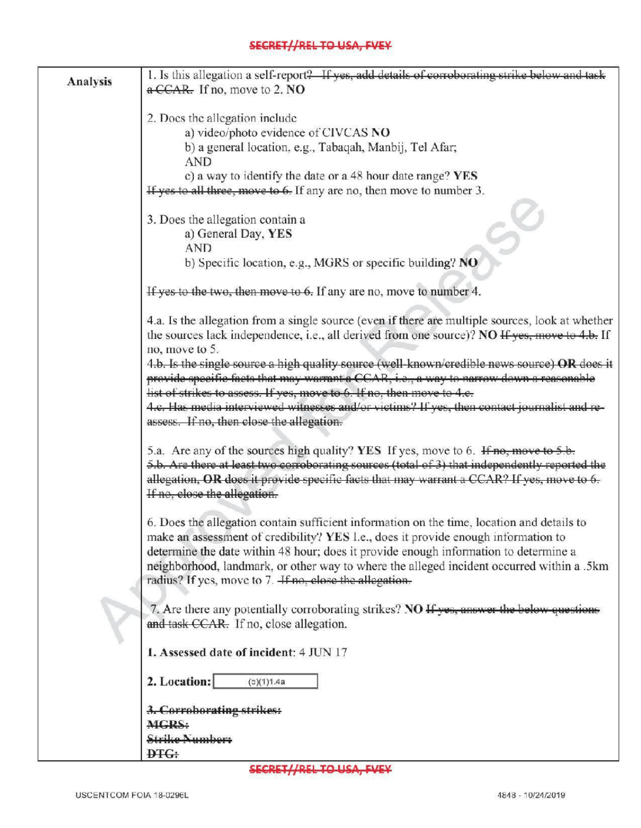## SECRET//REL TO USA, FVEY

| <b>Analysis</b> | 1. Is this allegation a self-report? If yes, add details of corroborating strike below and task                                                                                  |  |  |  |
|-----------------|----------------------------------------------------------------------------------------------------------------------------------------------------------------------------------|--|--|--|
|                 | a CCAR. If no, move to 2. NO                                                                                                                                                     |  |  |  |
|                 | 2. Does the allegation include<br>a) video/photo evidence of CIVCAS NO                                                                                                           |  |  |  |
|                 |                                                                                                                                                                                  |  |  |  |
|                 |                                                                                                                                                                                  |  |  |  |
|                 | b) a general location, e.g., Tabaqah, Manbij, Tel Afar;<br><b>AND</b>                                                                                                            |  |  |  |
|                 | c) a way to identify the date or a 48 hour date range? YES                                                                                                                       |  |  |  |
|                 | If yes to all three, move to 6. If any are no, then move to number 3.                                                                                                            |  |  |  |
|                 |                                                                                                                                                                                  |  |  |  |
|                 | 3. Does the allegation contain a                                                                                                                                                 |  |  |  |
|                 | ゟ<br>a) General Day, YES                                                                                                                                                         |  |  |  |
|                 | <b>AND</b>                                                                                                                                                                       |  |  |  |
|                 | b) Specific location, e.g., MGRS or specific building? NO                                                                                                                        |  |  |  |
|                 | If yes to the two, then move to 6. If any are no, move to number 4.                                                                                                              |  |  |  |
|                 | 4.a. Is the allegation from a single source (even if there are multiple sources, look at whether                                                                                 |  |  |  |
|                 | the sources lack independence, i.e., all derived from one source)? NO If yes, move to 4.b. If                                                                                    |  |  |  |
|                 | no, move to 5.                                                                                                                                                                   |  |  |  |
|                 | 4.b. Is the single source a high quality source (well-known/credible news source) OR does it                                                                                     |  |  |  |
|                 | provide specific facts that may warrant a CCAR, i.e., a way to narrow down a reasonable                                                                                          |  |  |  |
|                 | list of strikes to assess. If yes, move to 6. If no, then move to 4.e.                                                                                                           |  |  |  |
|                 | 4.c. Has media interviewed witnesses and/or victims? If yes, then contact journalist and re-                                                                                     |  |  |  |
|                 | assess. If no, then close the allegation.                                                                                                                                        |  |  |  |
|                 | 5.a. Are any of the sources high quality? YES If yes, move to 6. If no, move to 5.b.                                                                                             |  |  |  |
|                 | 5.b. Are there at least two corroborating sources (total of 3) that independently reported the                                                                                   |  |  |  |
|                 | allegation, OR does it provide specific facts that may warrant a CCAR? If yes, move to 6.                                                                                        |  |  |  |
|                 | If no, close the allegation.                                                                                                                                                     |  |  |  |
|                 |                                                                                                                                                                                  |  |  |  |
|                 | 6. Does the allegation contain sufficient information on the time, location and details to<br>make an assessment of credibility? YES I.e., does it provide enough information to |  |  |  |
|                 | determine the date within 48 hour; does it provide enough information to determine a                                                                                             |  |  |  |
|                 | neighborhood, landmark, or other way to where the alleged incident occurred within a .5km                                                                                        |  |  |  |
|                 | radius? If yes, move to 7. <i>If no</i> , close the allegation.                                                                                                                  |  |  |  |
|                 |                                                                                                                                                                                  |  |  |  |
|                 | 7. Are there any potentially corroborating strikes? NO If yes, answer the below questions<br>and task CCAR. If no, close allegation.                                             |  |  |  |
|                 |                                                                                                                                                                                  |  |  |  |
|                 | 1. Assessed date of incident: 4 JUN 17                                                                                                                                           |  |  |  |
|                 | 2. Location:<br>(5)(1)1.4a                                                                                                                                                       |  |  |  |
|                 | 3. Corroborating strikes:                                                                                                                                                        |  |  |  |
|                 | <b>MGRS:</b>                                                                                                                                                                     |  |  |  |
|                 | <b>Strike Numbers</b>                                                                                                                                                            |  |  |  |
|                 | <b>DTG:</b>                                                                                                                                                                      |  |  |  |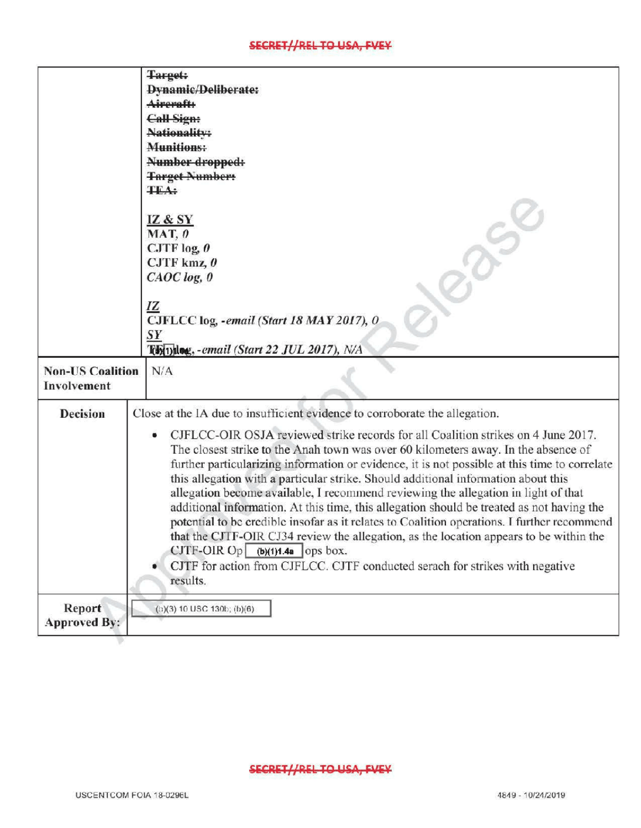## SECRET//REL TO USA, FVEY

|                         | <b>Target:</b>                                                                                |  |  |
|-------------------------|-----------------------------------------------------------------------------------------------|--|--|
|                         | <b>Dynamic/Deliberate:</b>                                                                    |  |  |
|                         | Aireraft:                                                                                     |  |  |
|                         | <b>Call Sign:</b>                                                                             |  |  |
|                         | Nationality:                                                                                  |  |  |
|                         | <b>Munitions:</b>                                                                             |  |  |
|                         | Number dropped:                                                                               |  |  |
|                         | <b>Target Numbers</b>                                                                         |  |  |
|                         | <b>TEA:</b>                                                                                   |  |  |
|                         |                                                                                               |  |  |
|                         | <b>IZ &amp; SY</b>                                                                            |  |  |
|                         | $MAT, 0$                                                                                      |  |  |
|                         | CJTF $log_2$ 0                                                                                |  |  |
|                         | CJTF kmz, $\theta$                                                                            |  |  |
|                         | C A O C log, 0                                                                                |  |  |
|                         |                                                                                               |  |  |
|                         | <u>IZ</u>                                                                                     |  |  |
|                         | CJFLCC log, -email (Start 18 MAY 2017), O                                                     |  |  |
|                         | SY                                                                                            |  |  |
|                         | Thinks email (Start 22 JUL 2017), N/A                                                         |  |  |
| <b>Non-US Coalition</b> | N/A                                                                                           |  |  |
| Involvement             |                                                                                               |  |  |
|                         |                                                                                               |  |  |
| <b>Decision</b>         | Close at the IA due to insufficient evidence to corroborate the allegation.                   |  |  |
|                         | CJFLCC-OIR OSJA reviewed strike records for all Coalition strikes on 4 June 2017.<br>۰        |  |  |
|                         | The closest strike to the Anah town was over 60 kilometers away. In the absence of            |  |  |
|                         | further particularizing information or evidence, it is not possible at this time to correlate |  |  |
|                         | this allegation with a particular strike. Should additional information about this            |  |  |
|                         | allegation become available, I recommend reviewing the allegation in light of that            |  |  |
|                         | additional information. At this time, this allegation should be treated as not having the     |  |  |
|                         | potential to be credible insofar as it relates to Coalition operations. I further recommend   |  |  |
|                         | that the CJTF-OIR CJ34 review the allegation, as the location appears to be within the        |  |  |
|                         | $CJTF-OIR$ Op<br>$(b)(1)1.4a$ ops box.                                                        |  |  |
|                         | CJTF for action from CJFLCC. CJTF conducted serach for strikes with negative<br>۰             |  |  |
|                         | results.                                                                                      |  |  |
|                         |                                                                                               |  |  |
|                         |                                                                                               |  |  |
| Report                  | (h)(3) 10 USC 130b; (b)(6).                                                                   |  |  |
| <b>Approved By:</b>     |                                                                                               |  |  |